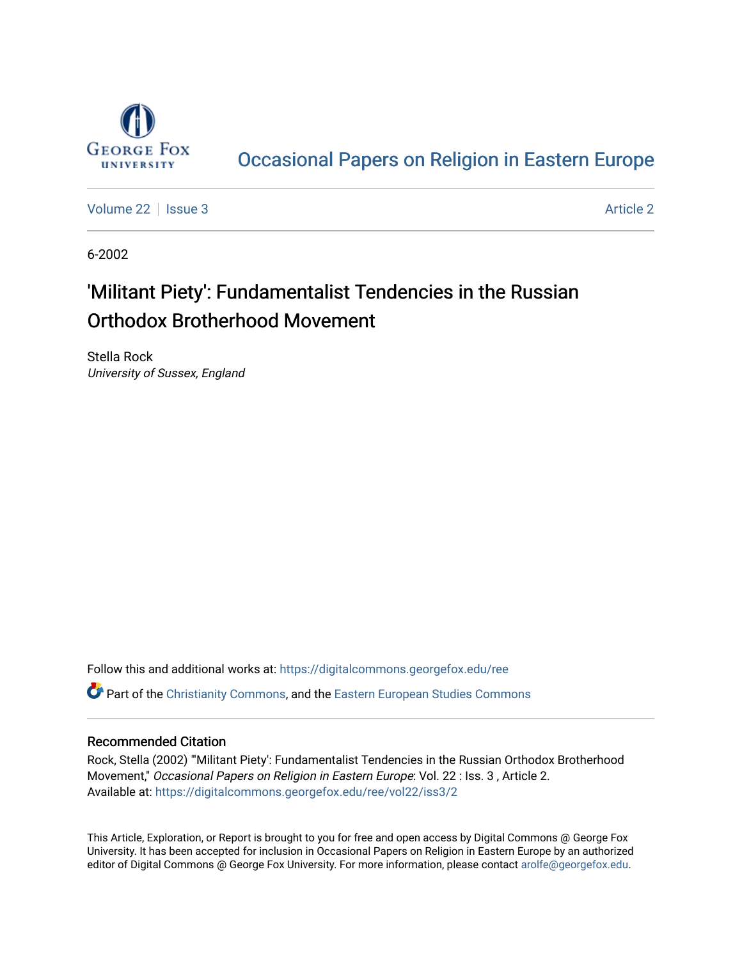

## [Occasional Papers on Religion in Eastern Europe](https://digitalcommons.georgefox.edu/ree)

[Volume 22](https://digitalcommons.georgefox.edu/ree/vol22) | [Issue 3](https://digitalcommons.georgefox.edu/ree/vol22/iss3) [Article 2](https://digitalcommons.georgefox.edu/ree/vol22/iss3/2) | Issue 3 Article 2 | Issue 3 Article 2 | Issue 3 Article 2 | Issue 3 | Issue 3 | Issue 3 | Issue 3 | Issue 3 | Issue 3 | Issue 3 | Issue 3 | Issue 3 | Issue 3 | Issue 3 | Issue 3 | Issue 3 |

6-2002

# 'Militant Piety': Fundamentalist Tendencies in the Russian Orthodox Brotherhood Movement

Stella Rock University of Sussex, England

Follow this and additional works at: [https://digitalcommons.georgefox.edu/ree](https://digitalcommons.georgefox.edu/ree?utm_source=digitalcommons.georgefox.edu%2Free%2Fvol22%2Fiss3%2F2&utm_medium=PDF&utm_campaign=PDFCoverPages)  **C** Part of the [Christianity Commons,](http://network.bepress.com/hgg/discipline/1181?utm_source=digitalcommons.georgefox.edu%2Free%2Fvol22%2Fiss3%2F2&utm_medium=PDF&utm_campaign=PDFCoverPages) and the [Eastern European Studies Commons](http://network.bepress.com/hgg/discipline/362?utm_source=digitalcommons.georgefox.edu%2Free%2Fvol22%2Fiss3%2F2&utm_medium=PDF&utm_campaign=PDFCoverPages)

#### Recommended Citation

Rock, Stella (2002) "'Militant Piety': Fundamentalist Tendencies in the Russian Orthodox Brotherhood Movement," Occasional Papers on Religion in Eastern Europe: Vol. 22 : Iss. 3 , Article 2. Available at: [https://digitalcommons.georgefox.edu/ree/vol22/iss3/2](https://digitalcommons.georgefox.edu/ree/vol22/iss3/2?utm_source=digitalcommons.georgefox.edu%2Free%2Fvol22%2Fiss3%2F2&utm_medium=PDF&utm_campaign=PDFCoverPages) 

This Article, Exploration, or Report is brought to you for free and open access by Digital Commons @ George Fox University. It has been accepted for inclusion in Occasional Papers on Religion in Eastern Europe by an authorized editor of Digital Commons @ George Fox University. For more information, please contact [arolfe@georgefox.edu.](mailto:arolfe@georgefox.edu)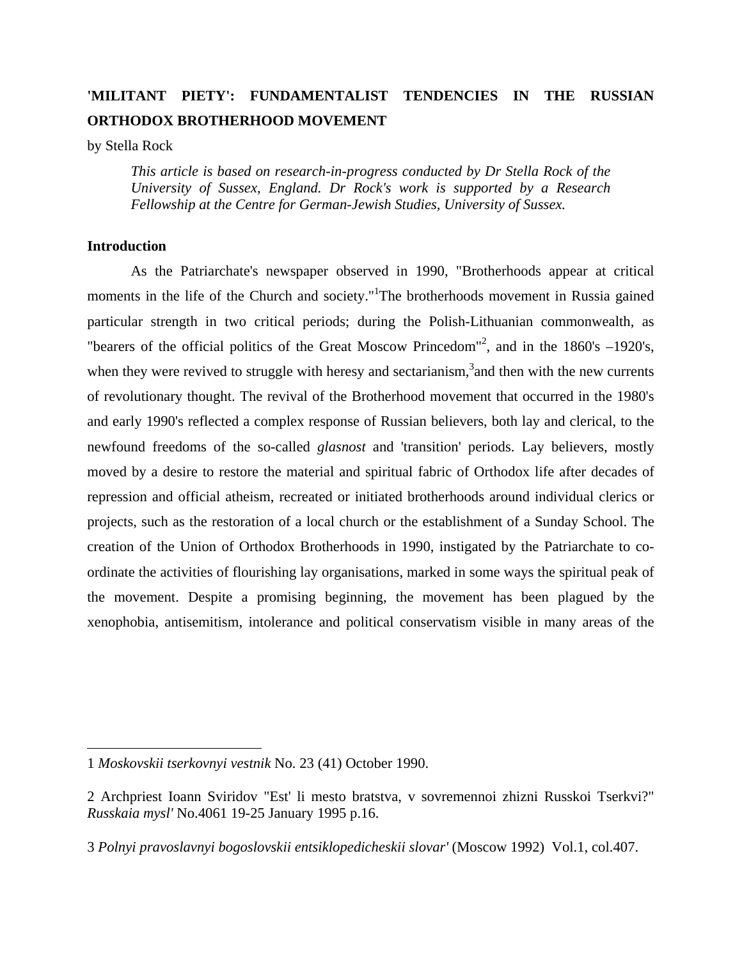### **'MILITANT PIETY': FUNDAMENTALIST TENDENCIES IN THE RUSSIAN ORTHODOX BROTHERHOOD MOVEMENT**

by Stella Rock

*This article is based on research-in-progress conducted by Dr Stella Rock of the University of Sussex, England. Dr Rock's work is supported by a Research Fellowship at the Centre for German-Jewish Studies, University of Sussex.*

#### **Introduction**

 $\overline{a}$ 

 As the Patriarchate's newspaper observed in 1990, "Brotherhoods appear at critical moments in the life of the Church and society."<sup>[1](#page-1-0)</sup>The brotherhoods movement in Russia gained particular strength in two critical periods; during the Polish-Lithuanian commonwealth, as "bearers of the official politics of the Great Moscow Princedom"<sup>2</sup>, and in the 1860's -1920's, when they were revived to struggle with heresy and sectarianism,<sup>[3](#page-1-2)</sup> and then with the new currents of revolutionary thought. The revival of the Brotherhood movement that occurred in the 1980's and early 1990's reflected a complex response of Russian believers, both lay and clerical, to the newfound freedoms of the so-called *glasnost* and 'transition' periods. Lay believers, mostly moved by a desire to restore the material and spiritual fabric of Orthodox life after decades of repression and official atheism, recreated or initiated brotherhoods around individual clerics or projects, such as the restoration of a local church or the establishment of a Sunday School. The creation of the Union of Orthodox Brotherhoods in 1990, instigated by the Patriarchate to coordinate the activities of flourishing lay organisations, marked in some ways the spiritual peak of the movement. Despite a promising beginning, the movement has been plagued by the xenophobia, antisemitism, intolerance and political conservatism visible in many areas of the

<span id="page-1-0"></span><sup>1</sup> *Moskovskii tserkovnyi vestnik* No. 23 (41) October 1990.

<span id="page-1-1"></span><sup>2</sup> Archpriest Ioann Sviridov "Est' li mesto bratstva, v sovremennoi zhizni Russkoi Tserkvi?" *Russkaia mysl'* No.4061 19-25 January 1995 p.16.

<span id="page-1-2"></span><sup>3</sup> *Polnyi pravoslavnyi bogoslovskii entsiklopedicheskii slovar'* (Moscow 1992) Vol.1, col.407.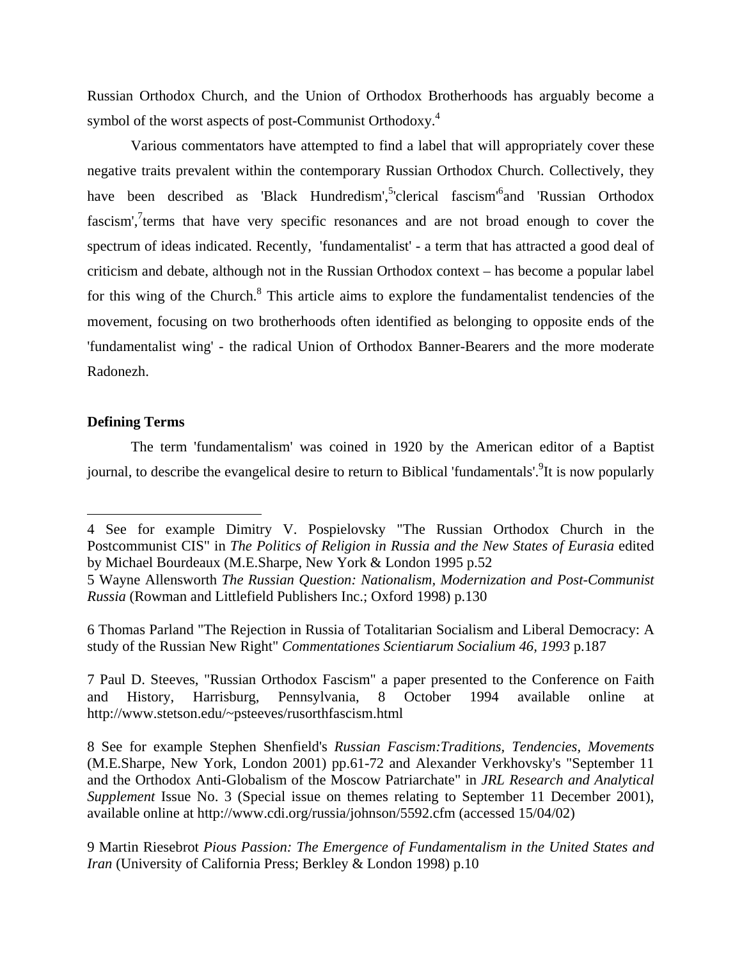Russian Orthodox Church, and the Union of Orthodox Brotherhoods has arguably become a symbol of the worst aspects of post-Communist Orthodoxy.<sup>[4](#page-2-0)</sup>

 Various commentators have attempted to find a label that will appropriately cover these negative traits prevalent within the contemporary Russian Orthodox Church. Collectively, they have been described as 'Black Hundredism', <sup>[5](#page-2-1)</sup>'clerical fascism<sup>'[6](#page-2-2)</sup> and 'Russian Orthodox fascism', $7$ terms that have very specific resonances and are not broad enough to cover the spectrum of ideas indicated. Recently, 'fundamentalist' - a term that has attracted a good deal of criticism and debate, although not in the Russian Orthodox context – has become a popular label for this wing of the Church.<sup>8</sup> This article aims to explore the fundamentalist tendencies of the movement, focusing on two brotherhoods often identified as belonging to opposite ends of the 'fundamentalist wing' - the radical Union of Orthodox Banner-Bearers and the more moderate Radonezh.

#### **Defining Terms**

 $\overline{a}$ 

 The term 'fundamentalism' was coined in 1920 by the American editor of a Baptist journal, to describe the evangelical desire to return to Biblical 'fundamentals'.<sup>9</sup>It is now popularly

<span id="page-2-2"></span>6 Thomas Parland "The Rejection in Russia of Totalitarian Socialism and Liberal Democracy: A study of the Russian New Right" *Commentationes Scientiarum Socialium 46, 1993* p.187

<span id="page-2-3"></span>7 Paul D. Steeves, "Russian Orthodox Fascism" a paper presented to the Conference on Faith and History, Harrisburg, Pennsylvania, 8 October 1994 available online at http://www.stetson.edu/~psteeves/rusorthfascism.html

<span id="page-2-4"></span>8 See for example Stephen Shenfield's *Russian Fascism:Traditions, Tendencies, Movements*  (M.E.Sharpe, New York, London 2001) pp.61-72 and Alexander Verkhovsky's "September 11 and the Orthodox Anti-Globalism of the Moscow Patriarchate" in *JRL Research and Analytical Supplement* Issue No. 3 (Special issue on themes relating to September 11 December 2001), available online at http://www.cdi.org/russia/johnson/5592.cfm (accessed 15/04/02)

<span id="page-2-5"></span>9 Martin Riesebrot *Pious Passion: The Emergence of Fundamentalism in the United States and Iran* (University of California Press; Berkley & London 1998) p.10

<span id="page-2-0"></span><sup>4</sup> See for example Dimitry V. Pospielovsky "The Russian Orthodox Church in the Postcommunist CIS" in *The Politics of Religion in Russia and the New States of Eurasia* edited by Michael Bourdeaux (M.E.Sharpe, New York & London 1995 p.52

<span id="page-2-1"></span><sup>5</sup> Wayne Allensworth *The Russian Question: Nationalism, Modernization and Post-Communist Russia* (Rowman and Littlefield Publishers Inc.; Oxford 1998) p.130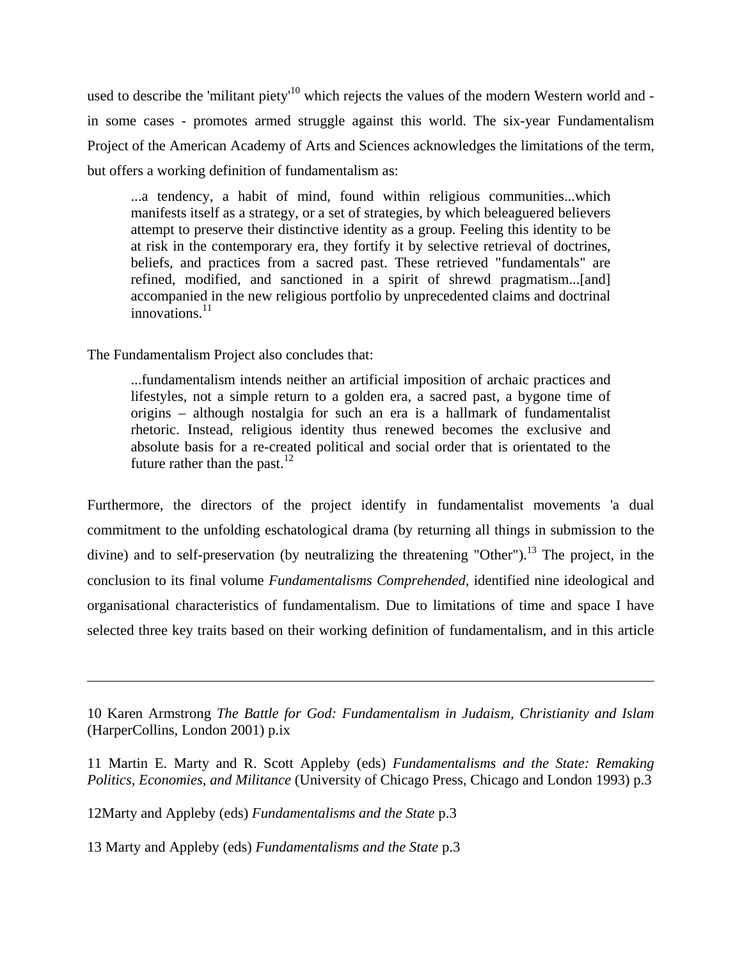used to describe the 'militant piety'<sup>10</sup> which rejects the values of the modern Western world and in some cases - promotes armed struggle against this world. The six-year Fundamentalism Project of the American Academy of Arts and Sciences acknowledges the limitations of the term, but offers a working definition of fundamentalism as:

...a tendency, a habit of mind, found within religious communities...which manifests itself as a strategy, or a set of strategies, by which beleaguered believers attempt to preserve their distinctive identity as a group. Feeling this identity to be at risk in the contemporary era, they fortify it by selective retrieval of doctrines, beliefs, and practices from a sacred past. These retrieved "fundamentals" are refined, modified, and sanctioned in a spirit of shrewd pragmatism...[and] accompanied in the new religious portfolio by unprecedented claims and doctrinal  $innovations.<sup>11</sup>$  $innovations.<sup>11</sup>$  $innovations.<sup>11</sup>$ 

#### The Fundamentalism Project also concludes that:

 $\overline{a}$ 

...fundamentalism intends neither an artificial imposition of archaic practices and lifestyles, not a simple return to a golden era, a sacred past, a bygone time of origins – although nostalgia for such an era is a hallmark of fundamentalist rhetoric. Instead, religious identity thus renewed becomes the exclusive and absolute basis for a re-created political and social order that is orientated to the future rather than the past.<sup>1[2](#page-3-2)</sup>

Furthermore, the directors of the project identify in fundamentalist movements 'a dual commitment to the unfolding eschatological drama (by returning all things in submission to the divine) and to self-preservation (by neutralizing the threatening "Other").<sup>13</sup> The project, in the conclusion to its final volume *Fundamentalisms Comprehended,* identified nine ideological and organisational characteristics of fundamentalism. Due to limitations of time and space I have selected three key traits based on their working definition of fundamentalism, and in this article

<span id="page-3-2"></span>12Marty and Appleby (eds) *Fundamentalisms and the State* p.3

<span id="page-3-3"></span>13 Marty and Appleby (eds) *Fundamentalisms and the State* p.3

<span id="page-3-0"></span><sup>10</sup> Karen Armstrong *The Battle for God: Fundamentalism in Judaism, Christianity and Islam*  (HarperCollins, London 2001) p.ix

<span id="page-3-1"></span><sup>11</sup> Martin E. Marty and R. Scott Appleby (eds) *Fundamentalisms and the State: Remaking Politics, Economies, and Militance* (University of Chicago Press, Chicago and London 1993) p.3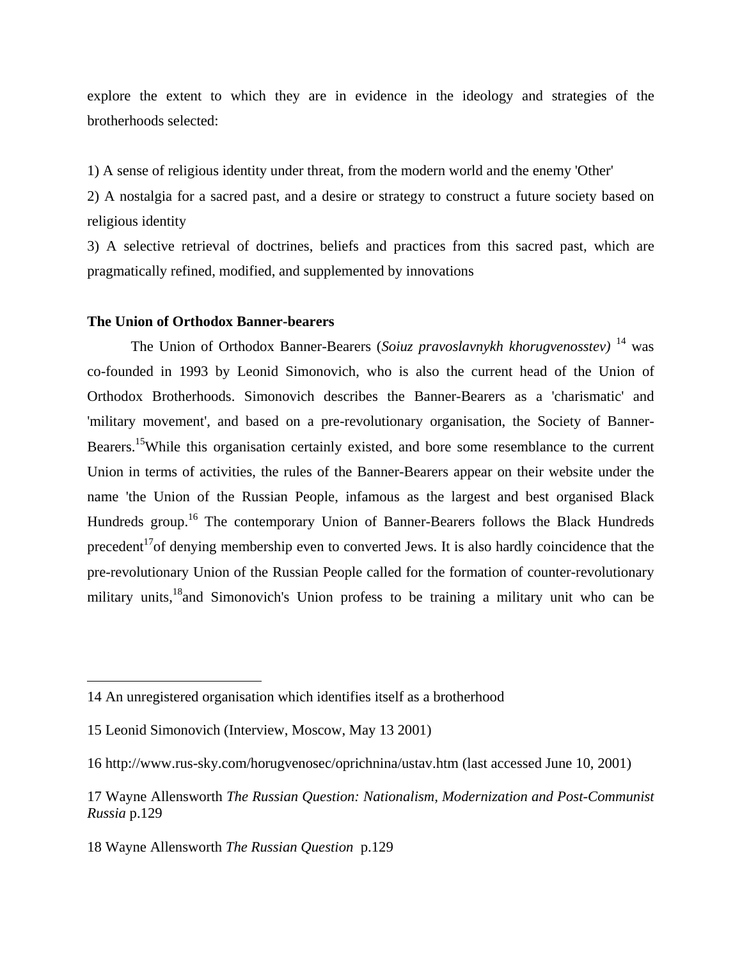explore the extent to which they are in evidence in the ideology and strategies of the brotherhoods selected:

1) A sense of religious identity under threat, from the modern world and the enemy 'Other'

2) A nostalgia for a sacred past, and a desire or strategy to construct a future society based on religious identity

3) A selective retrieval of doctrines, beliefs and practices from this sacred past, which are pragmatically refined, modified, and supplemented by innovations

#### **The Union of Orthodox Banner-bearers**

 The Union of Orthodox Banner-Bearers (*Soiuz pravoslavnykh khorugvenosstev)* <sup>14</sup> was co-founded in 1993 by Leonid Simonovich, who is also the current head of the Union of Orthodox Brotherhoods. Simonovich describes the Banner-Bearers as a 'charismatic' and 'military movement', and based on a pre-revolutionary organisation, the Society of Banner-Bearers.<sup>15</sup>While this organisation certainly existed, and bore some resemblance to the current Union in terms of activities, the rules of the Banner-Bearers appear on their website under the name 'the Union of the Russian People, infamous as the largest and best organised Black Hundreds group.<sup>16</sup> The contemporary Union of Banner-Bearers follows the Black Hundreds precedent<sup>17</sup> of denying membership even to converted Jews. It is also hardly coincidence that the pre-revolutionary Union of the Russian People called for the formation of counter-revolutionary military units,<sup>18</sup> and Simonovich's Union profess to be training a military unit who can be

<span id="page-4-0"></span><sup>14</sup> An unregistered organisation which identifies itself as a brotherhood

<span id="page-4-1"></span><sup>15</sup> Leonid Simonovich (Interview, Moscow, May 13 2001)

<span id="page-4-2"></span><sup>16</sup> http://www.rus-sky.com/horugvenosec/oprichnina/ustav.htm (last accessed June 10, 2001)

<span id="page-4-3"></span><sup>17</sup> Wayne Allensworth *The Russian Question: Nationalism, Modernization and Post-Communist Russia* p.129

<span id="page-4-4"></span><sup>18</sup> Wayne Allensworth *The Russian Question* p.129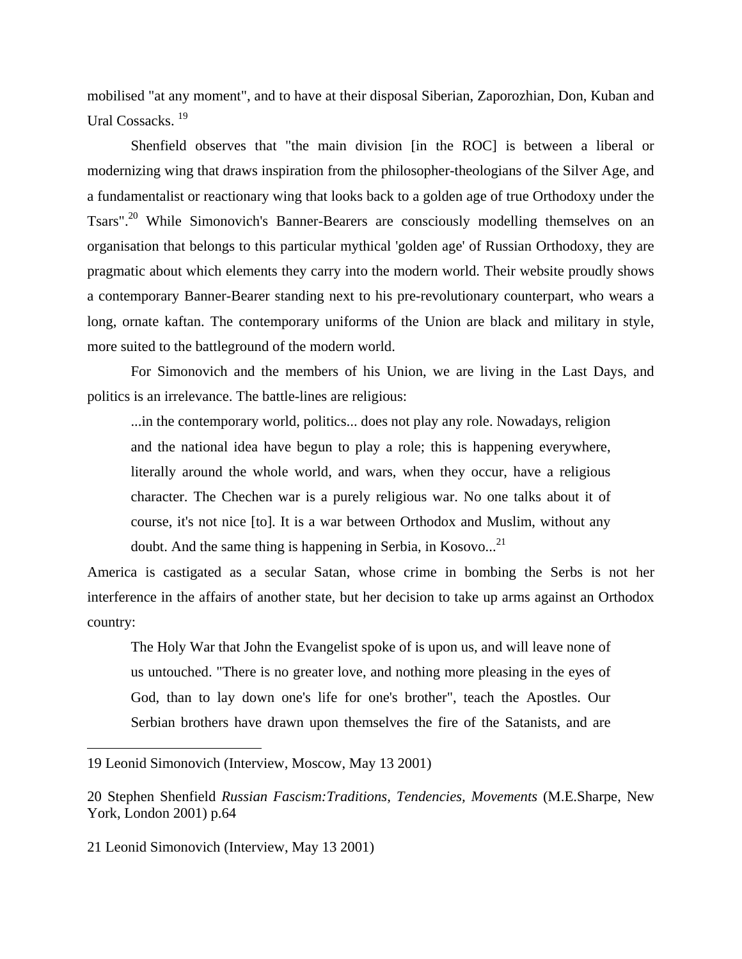mobilised "at any moment", and to have at their disposal Siberian, Zaporozhian, Don, Kuban and Ural Cossacks.<sup>1[9](#page-5-0)</sup>

 Shenfield observes that "the main division [in the ROC] is between a liberal or modernizing wing that draws inspiration from the philosopher-theologians of the Silver Age, and a fundamentalist or reactionary wing that looks back to a golden age of true Orthodoxy under the Tsars".<sup>20</sup> While Simonovich's Banner-Bearers are consciously modelling themselves on an organisation that belongs to this particular mythical 'golden age' of Russian Orthodoxy, they are pragmatic about which elements they carry into the modern world. Their website proudly shows a contemporary Banner-Bearer standing next to his pre-revolutionary counterpart, who wears a long, ornate kaftan. The contemporary uniforms of the Union are black and military in style, more suited to the battleground of the modern world.

 For Simonovich and the members of his Union, we are living in the Last Days, and politics is an irrelevance. The battle-lines are religious:

...in the contemporary world, politics... does not play any role. Nowadays, religion and the national idea have begun to play a role; this is happening everywhere, literally around the whole world, and wars, when they occur, have a religious character. The Chechen war is a purely religious war. No one talks about it of course, it's not nice [to]. It is a war between Orthodox and Muslim, without any doubt. And the same thing is happening in Serbia, in Kosovo...<sup>[21](#page-5-2)</sup>

America is castigated as a secular Satan, whose crime in bombing the Serbs is not her interference in the affairs of another state, but her decision to take up arms against an Orthodox country:

The Holy War that John the Evangelist spoke of is upon us, and will leave none of us untouched. "There is no greater love, and nothing more pleasing in the eyes of God, than to lay down one's life for one's brother", teach the Apostles. Our Serbian brothers have drawn upon themselves the fire of the Satanists, and are

<span id="page-5-2"></span>21 Leonid Simonovich (Interview, May 13 2001)

<span id="page-5-0"></span><sup>19</sup> Leonid Simonovich (Interview, Moscow, May 13 2001)

<span id="page-5-1"></span><sup>20</sup> Stephen Shenfield *Russian Fascism:Traditions, Tendencies, Movements* (M.E.Sharpe, New York, London 2001) p.64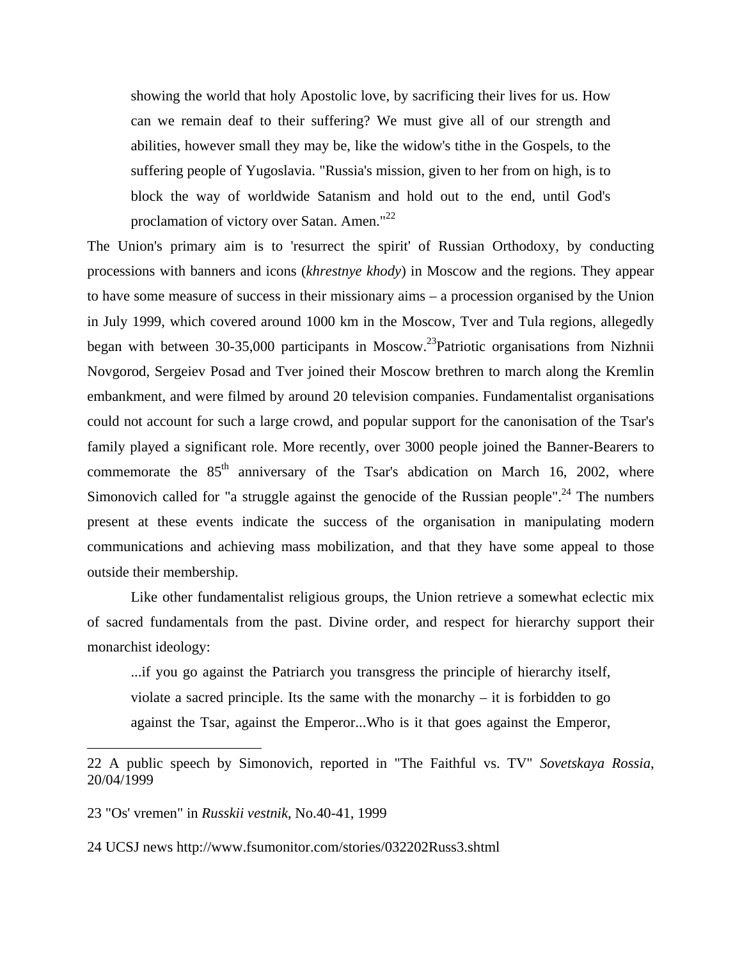showing the world that holy Apostolic love, by sacrificing their lives for us. How can we remain deaf to their suffering? We must give all of our strength and abilities, however small they may be, like the widow's tithe in the Gospels, to the suffering people of Yugoslavia. "Russia's mission, given to her from on high, is to block the way of worldwide Satanism and hold out to the end, until God's proclamation of victory over Satan. Amen."<sup>[22](#page-6-0)</sup>

The Union's primary aim is to 'resurrect the spirit' of Russian Orthodoxy, by conducting processions with banners and icons (*khrestnye khody*) in Moscow and the regions. They appear to have some measure of success in their missionary aims – a procession organised by the Union in July 1999, which covered around 1000 km in the Moscow, Tver and Tula regions, allegedly began with between 30-35,000 participants in Moscow.2[3P](#page-6-1)atriotic organisations from Nizhnii Novgorod, Sergeiev Posad and Tver joined their Moscow brethren to march along the Kremlin embankment, and were filmed by around 20 television companies. Fundamentalist organisations could not account for such a large crowd, and popular support for the canonisation of the Tsar's family played a significant role. More recently, over 3000 people joined the Banner-Bearers to commemorate the  $85<sup>th</sup>$  anniversary of the Tsar's abdication on March 16, 2002, where Simonovich called for "a struggle against the genocide of the Russian people".<sup>24</sup> The numbers present at these events indicate the success of the organisation in manipulating modern communications and achieving mass mobilization, and that they have some appeal to those outside their membership.

 Like other fundamentalist religious groups, the Union retrieve a somewhat eclectic mix of sacred fundamentals from the past. Divine order, and respect for hierarchy support their monarchist ideology:

...if you go against the Patriarch you transgress the principle of hierarchy itself, violate a sacred principle. Its the same with the monarchy  $-$  it is forbidden to go against the Tsar, against the Emperor...Who is it that goes against the Emperor,

<span id="page-6-0"></span><sup>22</sup> A public speech by Simonovich, reported in "The Faithful vs. TV" *Sovetskaya Rossia*, 20/04/1999

<span id="page-6-1"></span><sup>23 &</sup>quot;Os' vremen" in *Russkii vestnik*, No.40-41, 1999

<span id="page-6-2"></span><sup>24</sup> UCSJ news http://www.fsumonitor.com/stories/032202Russ3.shtml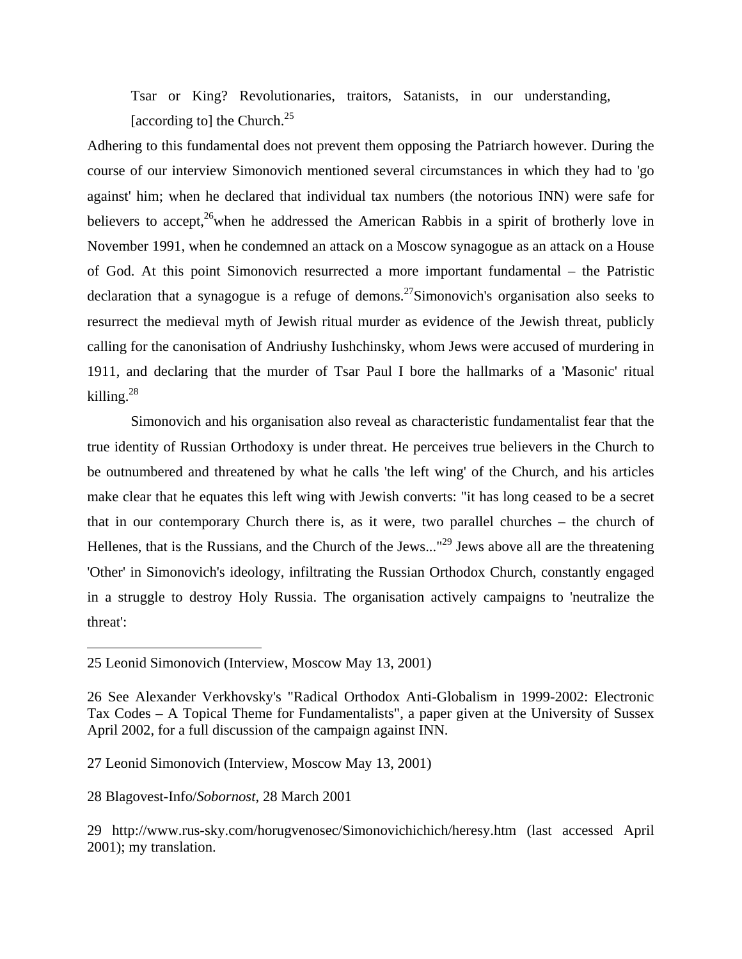Tsar or King? Revolutionaries, traitors, Satanists, in our understanding, [according to] the Church.<sup>[25](#page-7-0)</sup>

Adhering to this fundamental does not prevent them opposing the Patriarch however. During the course of our interview Simonovich mentioned several circumstances in which they had to 'go against' him; when he declared that individual tax numbers (the notorious INN) were safe for believers to accept,<sup>26</sup>when he addressed the American Rabbis in a spirit of brotherly love in November 1991, when he condemned an attack on a Moscow synagogue as an attack on a House of God. At this point Simonovich resurrected a more important fundamental – the Patristic declaration that a synagogue is a refuge of demons.<sup>27</sup>Simonovich's organisation also seeks to resurrect the medieval myth of Jewish ritual murder as evidence of the Jewish threat, publicly calling for the canonisation of Andriushy Iushchinsky, whom Jews were accused of murdering in 1911, and declaring that the murder of Tsar Paul I bore the hallmarks of a 'Masonic' ritual killing. $^{28}$  $^{28}$  $^{28}$ 

 Simonovich and his organisation also reveal as characteristic fundamentalist fear that the true identity of Russian Orthodoxy is under threat. He perceives true believers in the Church to be outnumbered and threatened by what he calls 'the left wing' of the Church, and his articles make clear that he equates this left wing with Jewish converts: "it has long ceased to be a secret that in our contemporary Church there is, as it were, two parallel churches – the church of Hellenes, that is the Russians, and the Church of the Jews..."<sup>29</sup> Jews above all are the threatening 'Other' in Simonovich's ideology, infiltrating the Russian Orthodox Church, constantly engaged in a struggle to destroy Holy Russia. The organisation actively campaigns to 'neutralize the threat':

1

<span id="page-7-0"></span><sup>25</sup> Leonid Simonovich (Interview, Moscow May 13, 2001)

<span id="page-7-1"></span><sup>26</sup> See Alexander Verkhovsky's "Radical Orthodox Anti-Globalism in 1999-2002: Electronic Tax Codes – A Topical Theme for Fundamentalists", a paper given at the University of Sussex April 2002, for a full discussion of the campaign against INN.

<span id="page-7-2"></span><sup>27</sup> Leonid Simonovich (Interview, Moscow May 13, 2001)

<span id="page-7-3"></span><sup>28</sup> Blagovest-Info/*Sobornost*, 28 March 2001

<span id="page-7-4"></span><sup>29</sup> http://www.rus-sky.com/horugvenosec/Simonovichichich/heresy.htm (last accessed April 2001); my translation.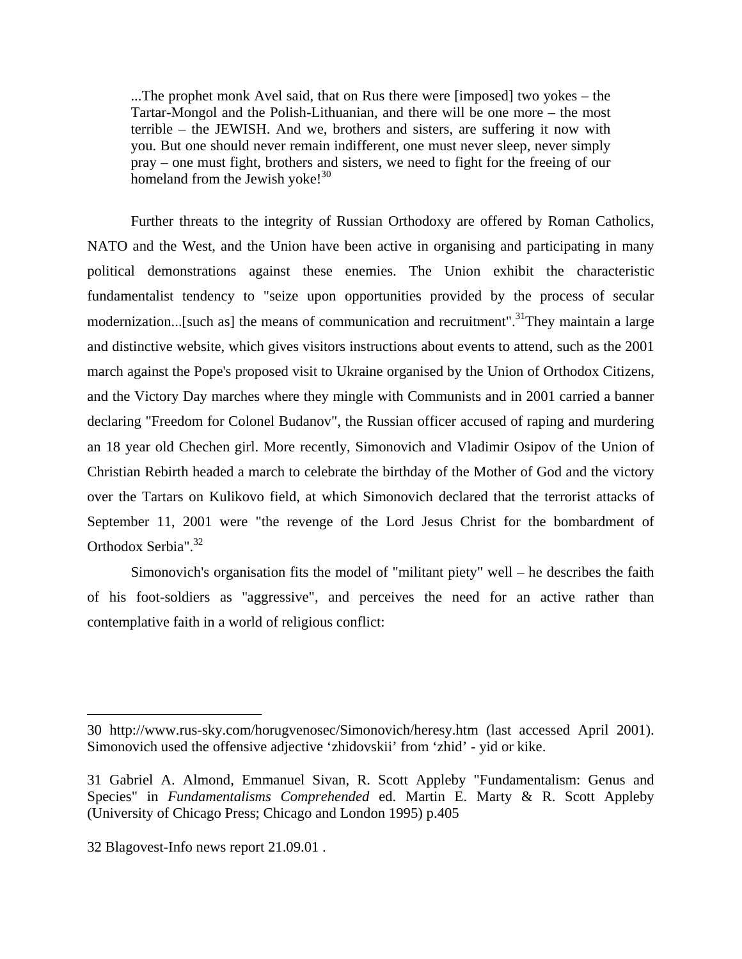...The prophet monk Avel said, that on Rus there were [imposed] two yokes – the Tartar-Mongol and the Polish-Lithuanian, and there will be one more – the most terrible – the JEWISH. And we, brothers and sisters, are suffering it now with you. But one should never remain indifferent, one must never sleep, never simply pray – one must fight, brothers and sisters, we need to fight for the freeing of our homeland from the Jewish yoke! $30$  $30$ 

 Further threats to the integrity of Russian Orthodoxy are offered by Roman Catholics, NATO and the West, and the Union have been active in organising and participating in many political demonstrations against these enemies. The Union exhibit the characteristic fundamentalist tendency to "seize upon opportunities provided by the process of secular modernization...[such as] the means of communication and recruitment".<sup>31</sup>They maintain a large and distinctive website, which gives visitors instructions about events to attend, such as the 2001 march against the Pope's proposed visit to Ukraine organised by the Union of Orthodox Citizens, and the Victory Day marches where they mingle with Communists and in 2001 carried a banner declaring "Freedom for Colonel Budanov", the Russian officer accused of raping and murdering an 18 year old Chechen girl. More recently, Simonovich and Vladimir Osipov of the Union of Christian Rebirth headed a march to celebrate the birthday of the Mother of God and the victory over the Tartars on Kulikovo field, at which Simonovich declared that the terrorist attacks of September 11, 2001 were "the revenge of the Lord Jesus Christ for the bombardment of Orthodox Serbia".<sup>[32](#page-8-2)</sup>

 Simonovich's organisation fits the model of "militant piety" well – he describes the faith of his foot-soldiers as ''aggressive", and perceives the need for an active rather than contemplative faith in a world of religious conflict:

<span id="page-8-0"></span><sup>30</sup> http://www.rus-sky.com/horugvenosec/Simonovich/heresy.htm (last accessed April 2001). Simonovich used the offensive adjective 'zhidovskii' from 'zhid' - yid or kike.

<span id="page-8-1"></span><sup>31</sup> Gabriel A. Almond, Emmanuel Sivan, R. Scott Appleby "Fundamentalism: Genus and Species" in *Fundamentalisms Comprehended* ed. Martin E. Marty & R. Scott Appleby (University of Chicago Press; Chicago and London 1995) p.405

<span id="page-8-2"></span><sup>32</sup> Blagovest-Info news report 21.09.01 .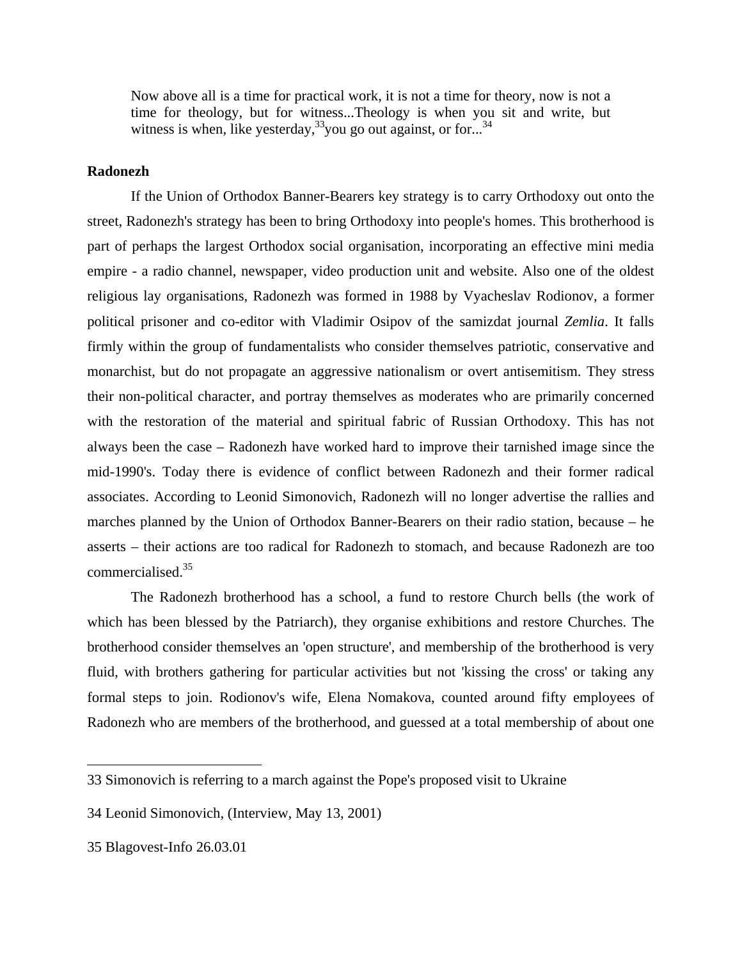Now above all is a time for practical work, it is not a time for theory, now is not a time for theology, but for witness...Theology is when you sit and write, but witness is when, like yesterday,  $33\overline{)}$  you go out against, or for...<sup>[34](#page-9-1)</sup>

#### **Radonezh**

 If the Union of Orthodox Banner-Bearers key strategy is to carry Orthodoxy out onto the street, Radonezh's strategy has been to bring Orthodoxy into people's homes. This brotherhood is part of perhaps the largest Orthodox social organisation, incorporating an effective mini media empire - a radio channel, newspaper, video production unit and website. Also one of the oldest religious lay organisations, Radonezh was formed in 1988 by Vyacheslav Rodionov, a former political prisoner and co-editor with Vladimir Osipov of the samizdat journal *Zemlia*. It falls firmly within the group of fundamentalists who consider themselves patriotic, conservative and monarchist, but do not propagate an aggressive nationalism or overt antisemitism. They stress their non-political character, and portray themselves as moderates who are primarily concerned with the restoration of the material and spiritual fabric of Russian Orthodoxy. This has not always been the case – Radonezh have worked hard to improve their tarnished image since the mid-1990's. Today there is evidence of conflict between Radonezh and their former radical associates. According to Leonid Simonovich, Radonezh will no longer advertise the rallies and marches planned by the Union of Orthodox Banner-Bearers on their radio station, because – he asserts – their actions are too radical for Radonezh to stomach, and because Radonezh are too commercialised.[35](#page-9-2)

 The Radonezh brotherhood has a school, a fund to restore Church bells (the work of which has been blessed by the Patriarch), they organise exhibitions and restore Churches. The brotherhood consider themselves an 'open structure', and membership of the brotherhood is very fluid, with brothers gathering for particular activities but not 'kissing the cross' or taking any formal steps to join. Rodionov's wife, Elena Nomakova, counted around fifty employees of Radonezh who are members of the brotherhood, and guessed at a total membership of about one

<span id="page-9-0"></span><sup>33</sup> Simonovich is referring to a march against the Pope's proposed visit to Ukraine

<span id="page-9-1"></span><sup>34</sup> Leonid Simonovich, (Interview, May 13, 2001)

<span id="page-9-2"></span><sup>35</sup> Blagovest-Info 26.03.01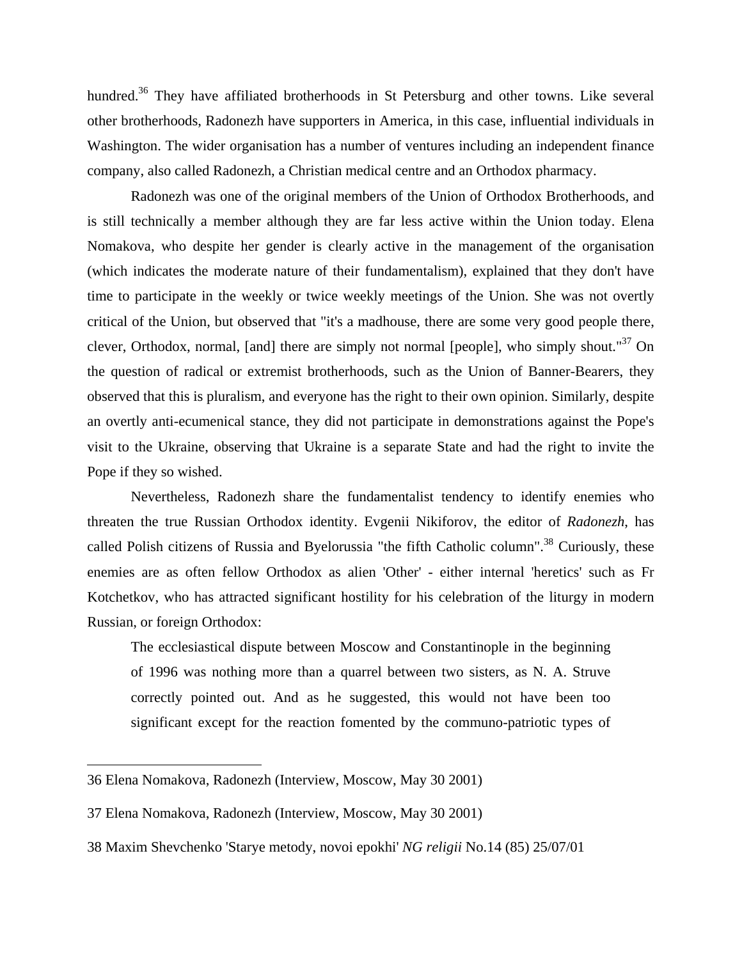hundred.<sup>36</sup> They have affiliated brotherhoods in St Petersburg and other towns. Like several other brotherhoods, Radonezh have supporters in America, in this case, influential individuals in Washington. The wider organisation has a number of ventures including an independent finance company, also called Radonezh, a Christian medical centre and an Orthodox pharmacy.

 Radonezh was one of the original members of the Union of Orthodox Brotherhoods, and is still technically a member although they are far less active within the Union today. Elena Nomakova, who despite her gender is clearly active in the management of the organisation (which indicates the moderate nature of their fundamentalism), explained that they don't have time to participate in the weekly or twice weekly meetings of the Union. She was not overtly critical of the Union, but observed that "it's a madhouse, there are some very good people there, clever, Orthodox, normal, [and] there are simply not normal [people], who simply shout."<sup>37</sup> On the question of radical or extremist brotherhoods, such as the Union of Banner-Bearers, they observed that this is pluralism, and everyone has the right to their own opinion. Similarly, despite an overtly anti-ecumenical stance, they did not participate in demonstrations against the Pope's visit to the Ukraine, observing that Ukraine is a separate State and had the right to invite the Pope if they so wished.

 Nevertheless, Radonezh share the fundamentalist tendency to identify enemies who threaten the true Russian Orthodox identity. Evgenii Nikiforov, the editor of *Radonezh*, has called Polish citizens of Russia and Byelorussia "the fifth Catholic column".<sup>38</sup> Curiously, these enemies are as often fellow Orthodox as alien 'Other' - either internal 'heretics' such as Fr Kotchetkov, who has attracted significant hostility for his celebration of the liturgy in modern Russian, or foreign Orthodox:

The ecclesiastical dispute between Moscow and Constantinople in the beginning of 1996 was nothing more than a quarrel between two sisters, as N. A. Struve correctly pointed out. And as he suggested, this would not have been too significant except for the reaction fomented by the communo-patriotic types of

<span id="page-10-0"></span><sup>36</sup> Elena Nomakova, Radonezh (Interview, Moscow, May 30 2001)

<span id="page-10-1"></span><sup>37</sup> Elena Nomakova, Radonezh (Interview, Moscow, May 30 2001)

<span id="page-10-2"></span><sup>38</sup> Maxim Shevchenko 'Starye metody, novoi epokhi' *NG religii* No.14 (85) 25/07/01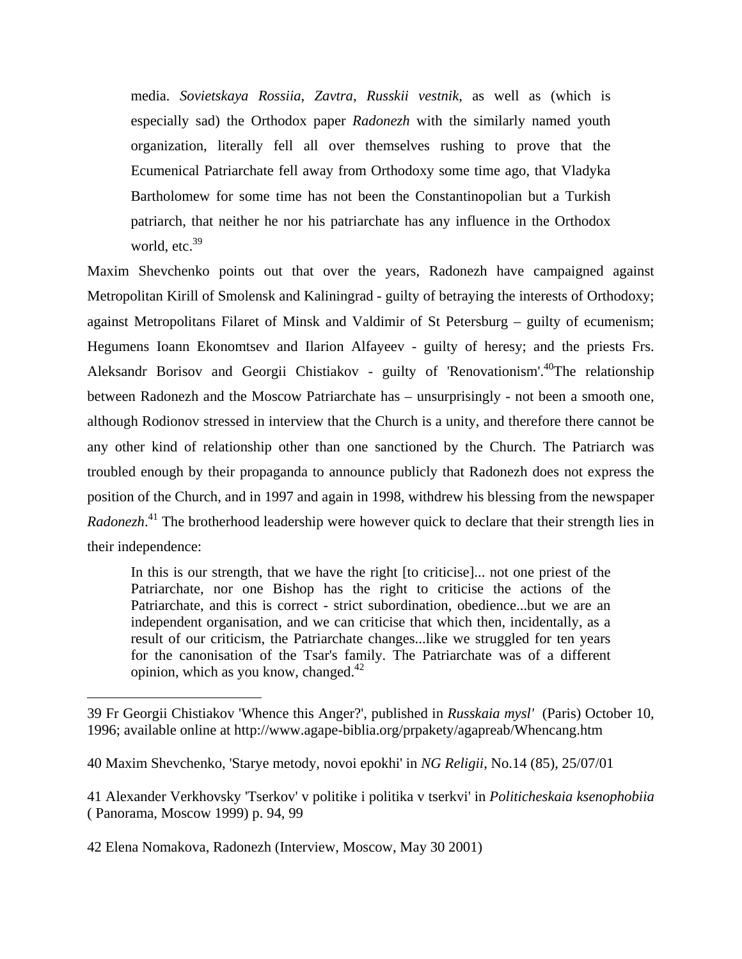media. *Sovietskaya Rossiia*, *Zavtra*, *Russkii vestnik*, as well as (which is especially sad) the Orthodox paper *Radonezh* with the similarly named youth organization, literally fell all over themselves rushing to prove that the Ecumenical Patriarchate fell away from Orthodoxy some time ago, that Vladyka Bartholomew for some time has not been the Constantinopolian but a Turkish patriarch, that neither he nor his patriarchate has any influence in the Orthodox world,  $etc.<sup>39</sup>$  $etc.<sup>39</sup>$  $etc.<sup>39</sup>$ 

Maxim Shevchenko points out that over the years, Radonezh have campaigned against Metropolitan Kirill of Smolensk and Kaliningrad - guilty of betraying the interests of Orthodoxy; against Metropolitans Filaret of Minsk and Valdimir of St Petersburg – guilty of ecumenism; Hegumens Ioann Ekonomtsev and Ilarion Alfayeev - guilty of heresy; and the priests Frs. Aleksandr Borisov and Georgii Chistiakov - guilty of 'Renovationism'.4[0T](#page-11-1)he relationship between Radonezh and the Moscow Patriarchate has – unsurprisingly - not been a smooth one, although Rodionov stressed in interview that the Church is a unity, and therefore there cannot be any other kind of relationship other than one sanctioned by the Church. The Patriarch was troubled enough by their propaganda to announce publicly that Radonezh does not express the position of the Church, and in 1997 and again in 1998, withdrew his blessing from the newspaper *Radonezh*. [41](#page-11-2) The brotherhood leadership were however quick to declare that their strength lies in their independence:

In this is our strength, that we have the right [to criticise]... not one priest of the Patriarchate, nor one Bishop has the right to criticise the actions of the Patriarchate, and this is correct - strict subordination, obedience...but we are an independent organisation, and we can criticise that which then, incidentally, as a result of our criticism, the Patriarchate changes...like we struggled for ten years for the canonisation of the Tsar's family. The Patriarchate was of a different opinion, which as you know, changed.[42](#page-11-3)

<span id="page-11-0"></span><sup>39</sup> Fr Georgii Chistiakov 'Whence this Anger?', published in *Russkaia mysl'* (Paris) October 10, 1996; available online at http://www.agape-biblia.org/prpakety/agapreab/Whencang.htm

<span id="page-11-1"></span><sup>40</sup> Maxim Shevchenko, 'Starye metody, novoi epokhi' in *NG Religii*, No.14 (85), 25/07/01

<span id="page-11-2"></span><sup>41</sup> Alexander Verkhovsky 'Tserkov' v politike i politika v tserkvi' in *Politicheskaia ksenophobiia*  ( Panorama, Moscow 1999) p. 94, 99

<span id="page-11-3"></span><sup>42</sup> Elena Nomakova, Radonezh (Interview, Moscow, May 30 2001)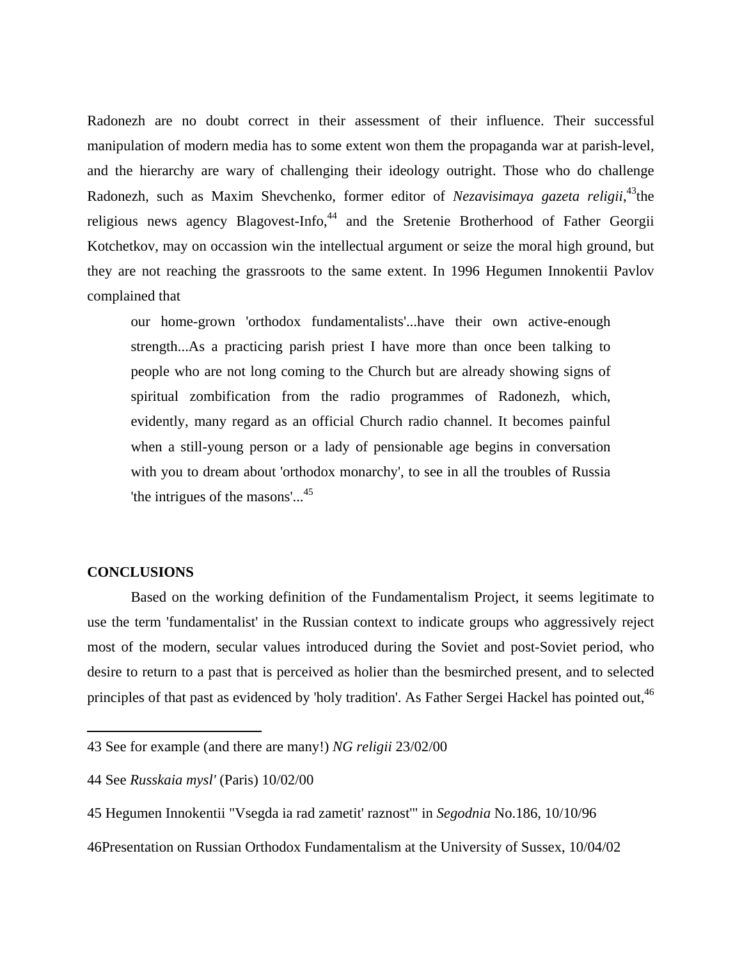Radonezh are no doubt correct in their assessment of their influence. Their successful manipulation of modern media has to some extent won them the propaganda war at parish-level, and the hierarchy are wary of challenging their ideology outright. Those who do challenge Radonezh, such as Maxim Shevchenko, former editor of *Nezavisimaya gazeta religii*,<sup>43</sup>the religious news agency Blagovest-Info,<sup>44</sup> and the Sretenie Brotherhood of Father Georgii Kotchetkov, may on occassion win the intellectual argument or seize the moral high ground, but they are not reaching the grassroots to the same extent. In 1996 Hegumen Innokentii Pavlov complained that

our home-grown 'orthodox fundamentalists'...have their own active-enough strength...As a practicing parish priest I have more than once been talking to people who are not long coming to the Church but are already showing signs of spiritual zombification from the radio programmes of Radonezh, which, evidently, many regard as an official Church radio channel. It becomes painful when a still-young person or a lady of pensionable age begins in conversation with you to dream about 'orthodox monarchy', to see in all the troubles of Russia 'the intrigues of the masons'...<sup>[45](#page-12-2)</sup>

#### **CONCLUSIONS**

1

 Based on the working definition of the Fundamentalism Project, it seems legitimate to use the term 'fundamentalist' in the Russian context to indicate groups who aggressively reject most of the modern, secular values introduced during the Soviet and post-Soviet period, who desire to return to a past that is perceived as holier than the besmirched present, and to selected principles of that past as evidenced by 'holy tradition'. As Father Sergei Hackel has pointed out, <sup>4[6](#page-12-3)</sup>

<span id="page-12-0"></span><sup>43</sup> See for example (and there are many!) *NG religii* 23/02/00

<span id="page-12-1"></span><sup>44</sup> See *Russkaia mysl'* (Paris) 10/02/00

<span id="page-12-2"></span><sup>45</sup> Hegumen Innokentii "Vsegda ia rad zametit' raznost'" in *Segodnia* No.186, 10/10/96

<span id="page-12-3"></span><sup>46</sup>Presentation on Russian Orthodox Fundamentalism at the University of Sussex, 10/04/02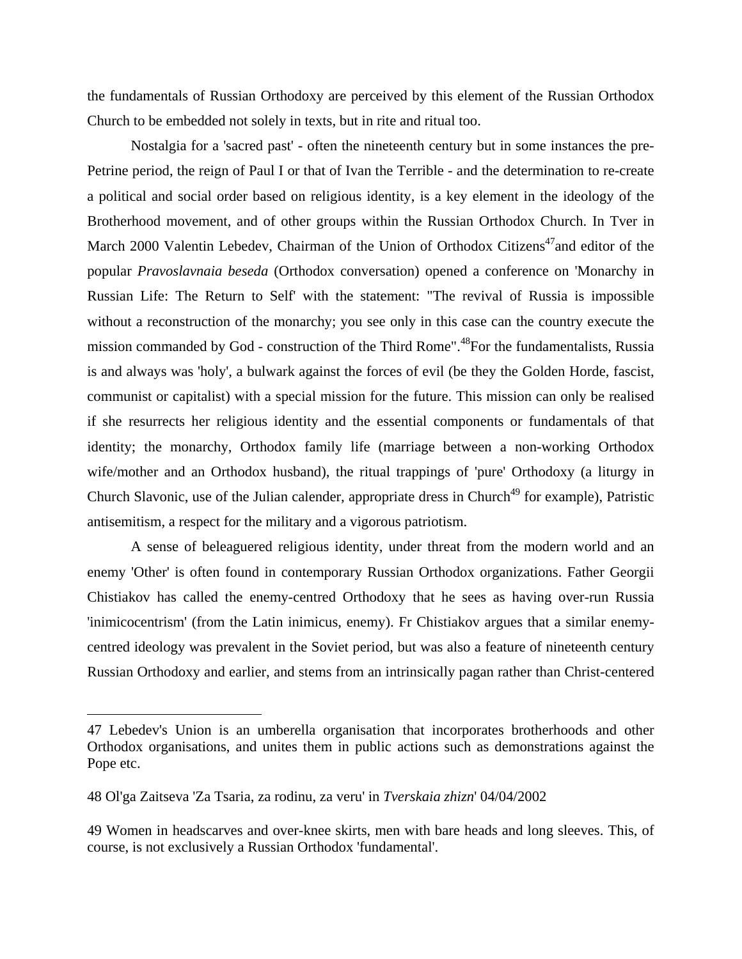the fundamentals of Russian Orthodoxy are perceived by this element of the Russian Orthodox Church to be embedded not solely in texts, but in rite and ritual too.

 Nostalgia for a 'sacred past' - often the nineteenth century but in some instances the pre-Petrine period, the reign of Paul I or that of Ivan the Terrible - and the determination to re-create a political and social order based on religious identity, is a key element in the ideology of the Brotherhood movement, and of other groups within the Russian Orthodox Church. In Tver in March 2000 Valentin Lebedev, Chairman of the Union of Orthodox Citizens<sup>47</sup>and editor of the popular *Pravoslavnaia beseda* (Orthodox conversation) opened a conference on 'Monarchy in Russian Life: The Return to Self' with the statement: "The revival of Russia is impossible without a reconstruction of the monarchy; you see only in this case can the country execute the mission commanded by God - construction of the Third Rome".<sup>48</sup>For the fundamentalists, Russia is and always was 'holy', a bulwark against the forces of evil (be they the Golden Horde, fascist, communist or capitalist) with a special mission for the future. This mission can only be realised if she resurrects her religious identity and the essential components or fundamentals of that identity; the monarchy, Orthodox family life (marriage between a non-working Orthodox wife/mother and an Orthodox husband), the ritual trappings of 'pure' Orthodoxy (a liturgy in Church Slavonic, use of the Julian calender, appropriate dress in Church<sup>49</sup> for example), Patristic antisemitism, a respect for the military and a vigorous patriotism.

 A sense of beleaguered religious identity, under threat from the modern world and an enemy 'Other' is often found in contemporary Russian Orthodox organizations. Father Georgii Chistiakov has called the enemy-centred Orthodoxy that he sees as having over-run Russia 'inimicocentrism' (from the Latin inimicus, enemy). Fr Chistiakov argues that a similar enemycentred ideology was prevalent in the Soviet period, but was also a feature of nineteenth century Russian Orthodoxy and earlier, and stems from an intrinsically pagan rather than Christ-centered

1

<span id="page-13-0"></span><sup>47</sup> Lebedev's Union is an umberella organisation that incorporates brotherhoods and other Orthodox organisations, and unites them in public actions such as demonstrations against the Pope etc.

<span id="page-13-1"></span><sup>48</sup> Ol'ga Zaitseva 'Za Tsaria, za rodinu, za veru' in *Tverskaia zhizn*' 04/04/2002

<span id="page-13-2"></span><sup>49</sup> Women in headscarves and over-knee skirts, men with bare heads and long sleeves. This, of course, is not exclusively a Russian Orthodox 'fundamental'.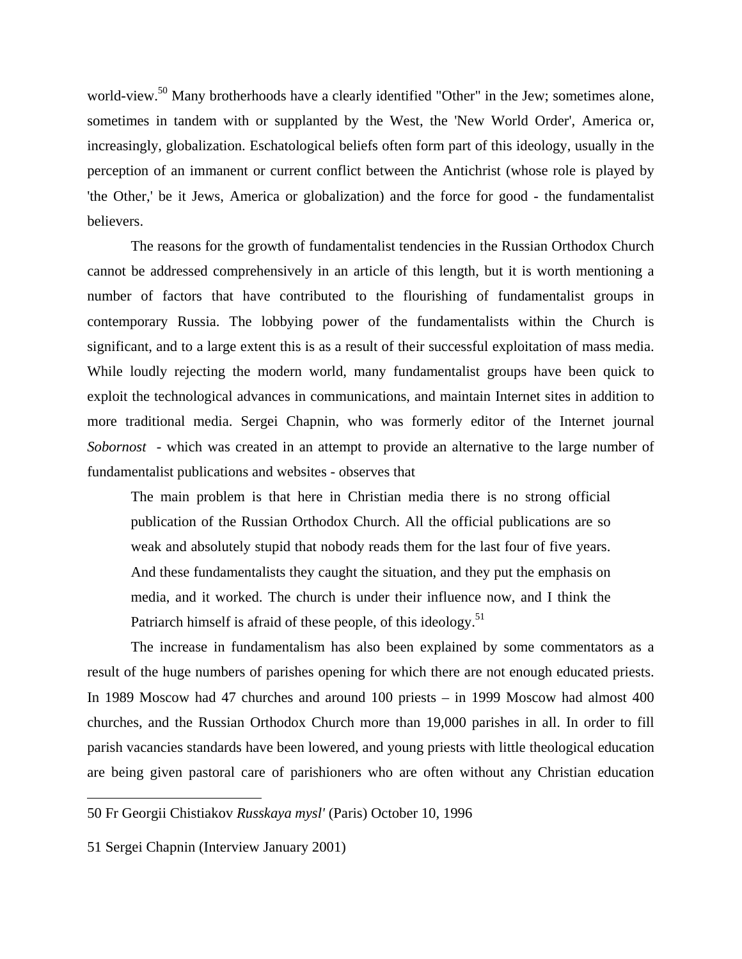world-view.<sup>50</sup> Many brotherhoods have a clearly identified "Other" in the Jew; sometimes alone, sometimes in tandem with or supplanted by the West, the 'New World Order', America or, increasingly, globalization. Eschatological beliefs often form part of this ideology, usually in the perception of an immanent or current conflict between the Antichrist (whose role is played by 'the Other,' be it Jews, America or globalization) and the force for good - the fundamentalist believers.

 The reasons for the growth of fundamentalist tendencies in the Russian Orthodox Church cannot be addressed comprehensively in an article of this length, but it is worth mentioning a number of factors that have contributed to the flourishing of fundamentalist groups in contemporary Russia. The lobbying power of the fundamentalists within the Church is significant, and to a large extent this is as a result of their successful exploitation of mass media. While loudly rejecting the modern world, many fundamentalist groups have been quick to exploit the technological advances in communications, and maintain Internet sites in addition to more traditional media. Sergei Chapnin, who was formerly editor of the Internet journal *Sobornost* - which was created in an attempt to provide an alternative to the large number of fundamentalist publications and websites - observes that

The main problem is that here in Christian media there is no strong official publication of the Russian Orthodox Church. All the official publications are so weak and absolutely stupid that nobody reads them for the last four of five years. And these fundamentalists they caught the situation, and they put the emphasis on media, and it worked. The church is under their influence now, and I think the Patriarch himself is afraid of these people, of this ideology.<sup>[51](#page-14-1)</sup>

 The increase in fundamentalism has also been explained by some commentators as a result of the huge numbers of parishes opening for which there are not enough educated priests. In 1989 Moscow had 47 churches and around 100 priests – in 1999 Moscow had almost 400 churches, and the Russian Orthodox Church more than 19,000 parishes in all. In order to fill parish vacancies standards have been lowered, and young priests with little theological education are being given pastoral care of parishioners who are often without any Christian education

<span id="page-14-0"></span><sup>50</sup> Fr Georgii Chistiakov *Russkaya mysl'* (Paris) October 10, 1996

<span id="page-14-1"></span><sup>51</sup> Sergei Chapnin (Interview January 2001)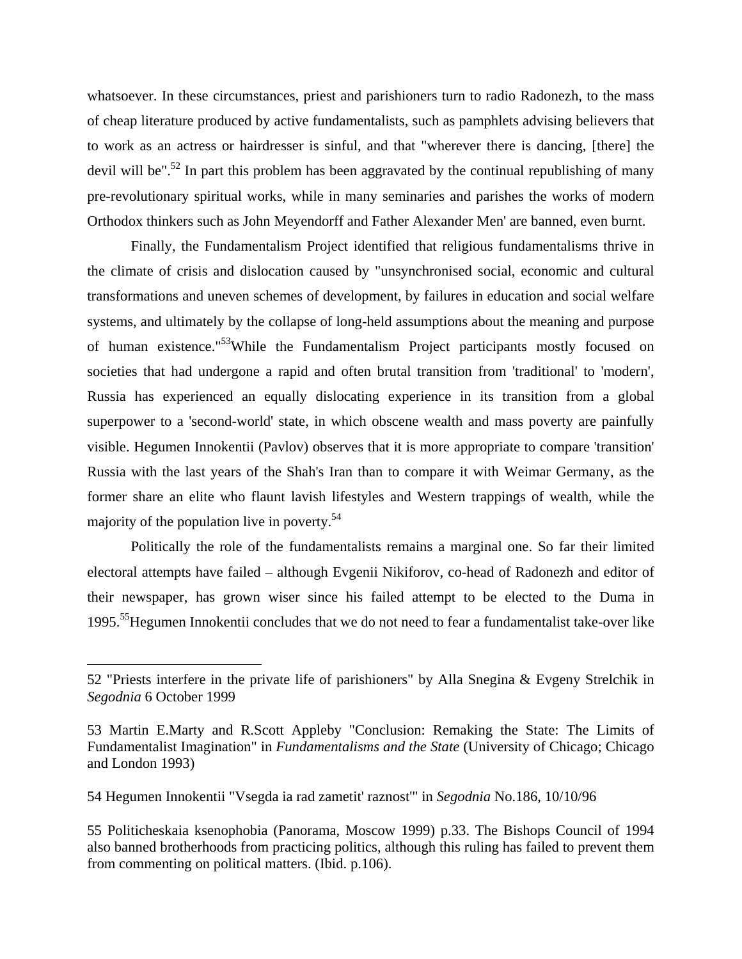whatsoever. In these circumstances, priest and parishioners turn to radio Radonezh, to the mass of cheap literature produced by active fundamentalists, such as pamphlets advising believers that to work as an actress or hairdresser is sinful, and that "wherever there is dancing, [there] the devil will be".<sup>52</sup> In part this problem has been aggravated by the continual republishing of many pre-revolutionary spiritual works, while in many seminaries and parishes the works of modern Orthodox thinkers such as John Meyendorff and Father Alexander Men' are banned, even burnt.

 Finally, the Fundamentalism Project identified that religious fundamentalisms thrive in the climate of crisis and dislocation caused by "unsynchronised social, economic and cultural transformations and uneven schemes of development, by failures in education and social welfare systems, and ultimately by the collapse of long-held assumptions about the meaning and purpose of human existence."[53W](#page-15-1)hile the Fundamentalism Project participants mostly focused on societies that had undergone a rapid and often brutal transition from 'traditional' to 'modern', Russia has experienced an equally dislocating experience in its transition from a global superpower to a 'second-world' state, in which obscene wealth and mass poverty are painfully visible. Hegumen Innokentii (Pavlov) observes that it is more appropriate to compare 'transition' Russia with the last years of the Shah's Iran than to compare it with Weimar Germany, as the former share an elite who flaunt lavish lifestyles and Western trappings of wealth, while the majority of the population live in poverty.5[4](#page-15-2) 

 Politically the role of the fundamentalists remains a marginal one. So far their limited electoral attempts have failed – although Evgenii Nikiforov, co-head of Radonezh and editor of their newspaper, has grown wiser since his failed attempt to be elected to the Duma in 1995.5[5H](#page-15-3)egumen Innokentii concludes that we do not need to fear a fundamentalist take-over like

<span id="page-15-0"></span><sup>52 &</sup>quot;Priests interfere in the private life of parishioners" by Alla Snegina & Evgeny Strelchik in *Segodnia* 6 October 1999

<span id="page-15-1"></span><sup>53</sup> Martin E.Marty and R.Scott Appleby "Conclusion: Remaking the State: The Limits of Fundamentalist Imagination" in *Fundamentalisms and the State* (University of Chicago; Chicago and London 1993)

<span id="page-15-2"></span><sup>54</sup> Hegumen Innokentii "Vsegda ia rad zametit' raznost'" in *Segodnia* No.186, 10/10/96

<span id="page-15-3"></span><sup>55</sup> Politicheskaia ksenophobia (Panorama, Moscow 1999) p.33. The Bishops Council of 1994 also banned brotherhoods from practicing politics, although this ruling has failed to prevent them from commenting on political matters. (Ibid. p.106).